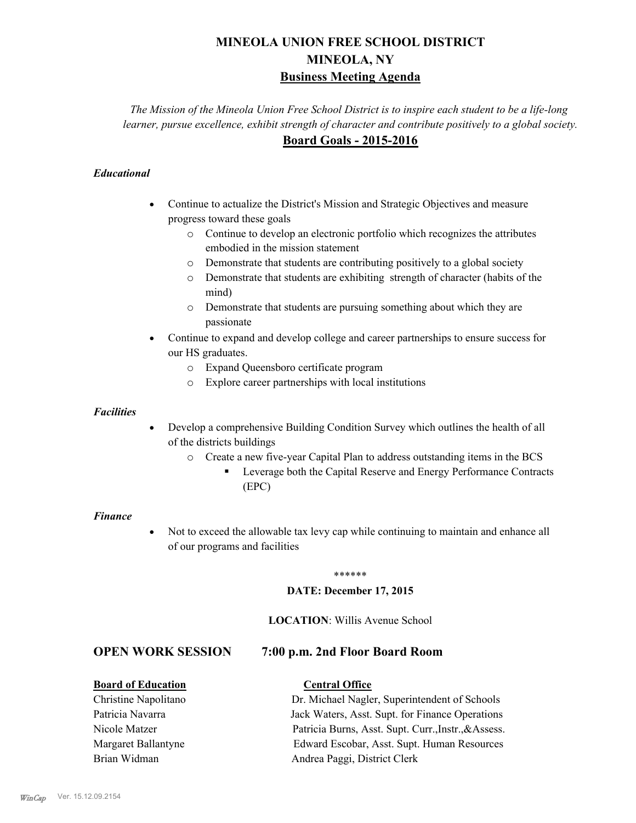# **MINEOLA UNION FREE SCHOOL DISTRICT MINEOLA, NY Business Meeting Agenda**

*The Mission of the Mineola Union Free School District is to inspire each student to be a life-long learner, pursue excellence, exhibit strength of character and contribute positively to a global society.* **Board Goals - 2015-2016**

# *Educational*

- · Continue to actualize the District's Mission and Strategic Objectives and measure progress toward these goals
	- o Continue to develop an electronic portfolio which recognizes the attributes embodied in the mission statement
	- o Demonstrate that students are contributing positively to a global society
	- o Demonstrate that students are exhibiting strength of character (habits of the mind)
	- o Demonstrate that students are pursuing something about which they are passionate
- Continue to expand and develop college and career partnerships to ensure success for our HS graduates.
	- o Expand Queensboro certificate program
	- o Explore career partnerships with local institutions

### *Facilities*

- Develop a comprehensive Building Condition Survey which outlines the health of all of the districts buildings
	- o Create a new five-year Capital Plan to address outstanding items in the BCS
		- § Leverage both the Capital Reserve and Energy Performance Contracts (EPC)

### *Finance*

• Not to exceed the allowable tax levy cap while continuing to maintain and enhance all of our programs and facilities

### \*\*\*\*\*\*

### **DATE: December 17, 2015**

### **LOCATION**: Willis Avenue School

# **OPEN WORK SESSION 7:00 p.m. 2nd Floor Board Room**

## **Board of Education Central Office**

Christine Napolitano Dr. Michael Nagler, Superintendent of Schools Patricia Navarra Jack Waters, Asst. Supt. for Finance Operations Nicole Matzer Patricia Burns, Asst. Supt. Curr.,Instr.,&Assess. Margaret Ballantyne Edward Escobar, Asst. Supt. Human Resources Brian Widman **Andrea Paggi, District Clerk**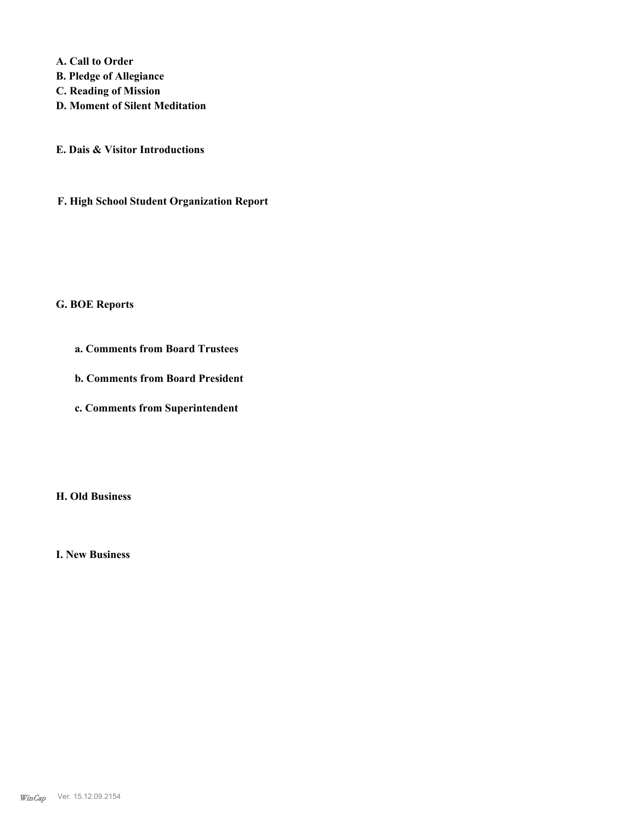**A. Call to Order** 

- **B. Pledge of Allegiance**
- **C. Reading of Mission**
- **D. Moment of Silent Meditation**
- **E. Dais & Visitor Introductions**
- **F. High School Student Organization Report**

### **G. BOE Reports**

- **a. Comments from Board Trustees**
- **b. Comments from Board President**
- **c. Comments from Superintendent**

**H. Old Business**

**I. New Business**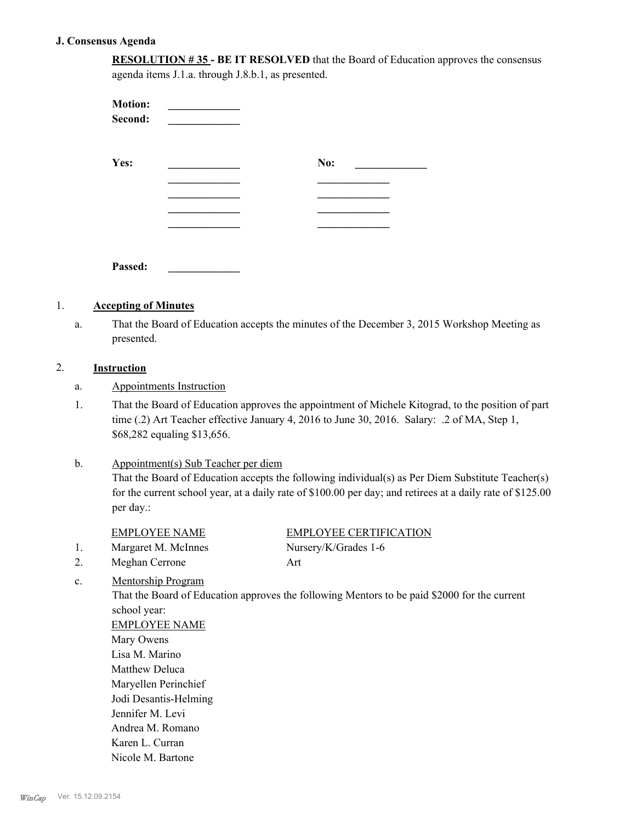### **J. Consensus Agenda**

| <b>RESOLUTION #35 - BE IT RESOLVED</b> that the Board of Education approves the consensus |  |
|-------------------------------------------------------------------------------------------|--|
| agenda items J.1.a. through J.8.b.1, as presented.                                        |  |

| <b>Motion:</b><br>Second: |     |
|---------------------------|-----|
| Yes:                      | No: |
|                           |     |
|                           |     |
|                           |     |
| Passed:                   |     |

# 1. **Accepting of Minutes**

That the Board of Education accepts the minutes of the December 3, 2015 Workshop Meeting as presented. a.

# 2. **Instruction**

- a. Appointments Instruction
- That the Board of Education approves the appointment of Michele Kitograd, to the position of part time (.2) Art Teacher effective January 4, 2016 to June 30, 2016. Salary: .2 of MA, Step 1, \$68,282 equaling \$13,656. 1.

### Appointment(s) Sub Teacher per diem b.

That the Board of Education accepts the following individual(s) as Per Diem Substitute Teacher(s) for the current school year, at a daily rate of \$100.00 per day; and retirees at a daily rate of \$125.00 per day.:

|                | <b>EMPLOYEE NAME</b>      | <b>EMPLOYEE CERTIFICATION</b>                                                                |
|----------------|---------------------------|----------------------------------------------------------------------------------------------|
| 1.             | Margaret M. McInnes       | Nursery/K/Grades 1-6                                                                         |
| 2.             | Meghan Cerrone            | Art                                                                                          |
| $\mathbf{c}$ . | <b>Mentorship Program</b> |                                                                                              |
|                |                           | That the Board of Education approves the following Mentors to be paid \$2000 for the current |
|                | school year:              |                                                                                              |

EMPLOYEE NAME Mary Owens Lisa M. Marino Matthew Deluca Maryellen Perinchief Jodi Desantis-Helming Jennifer M. Levi Andrea M. Romano Karen L. Curran Nicole M. Bartone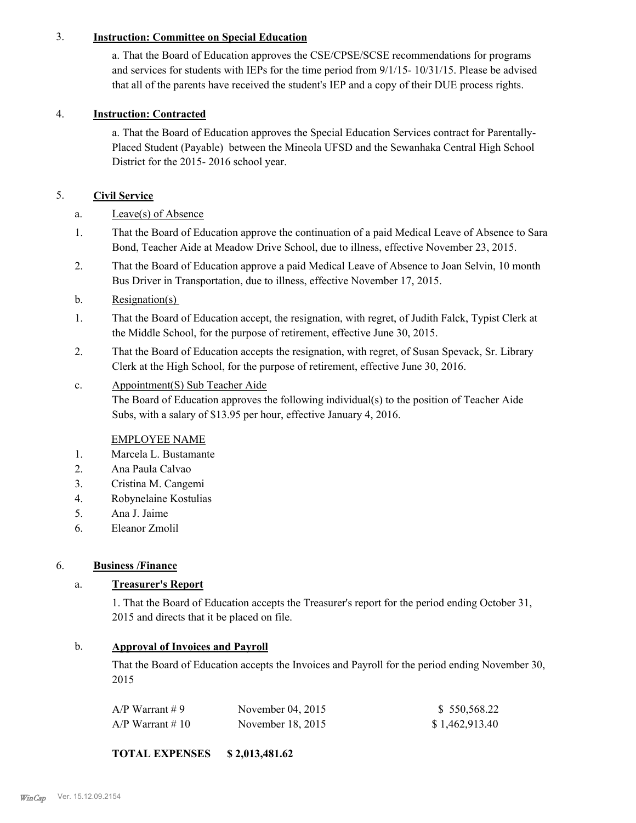# 3. **Instruction: Committee on Special Education**

a. That the Board of Education approves the CSE/CPSE/SCSE recommendations for programs and services for students with IEPs for the time period from 9/1/15- 10/31/15. Please be advised that all of the parents have received the student's IEP and a copy of their DUE process rights.

# 4. **Instruction: Contracted**

a. That the Board of Education approves the Special Education Services contract for Parentally-Placed Student (Payable) between the Mineola UFSD and the Sewanhaka Central High School District for the 2015- 2016 school year.

# 5. **Civil Service**

- a. Leave(s) of Absence
- That the Board of Education approve the continuation of a paid Medical Leave of Absence to Sara Bond, Teacher Aide at Meadow Drive School, due to illness, effective November 23, 2015. 1.
- That the Board of Education approve a paid Medical Leave of Absence to Joan Selvin, 10 month Bus Driver in Transportation, due to illness, effective November 17, 2015. 2.
- b. Resignation(s)
- That the Board of Education accept, the resignation, with regret, of Judith Falck, Typist Clerk at the Middle School, for the purpose of retirement, effective June 30, 2015. 1.
- That the Board of Education accepts the resignation, with regret, of Susan Spevack, Sr. Library Clerk at the High School, for the purpose of retirement, effective June 30, 2016. 2.
- Appointment(S) Sub Teacher Aide The Board of Education approves the following individual(s) to the position of Teacher Aide Subs, with a salary of \$13.95 per hour, effective January 4, 2016. c.

# EMPLOYEE NAME

- 1. Marcela L. Bustamante
- 2. Ana Paula Calvao
- 3. Cristina M. Cangemi
- 4. Robynelaine Kostulias
- 5. Ana J. Jaime
- 6. Eleanor Zmolil

## 6. **Business /Finance**

# a. **Treasurer's Report**

1. That the Board of Education accepts the Treasurer's report for the period ending October 31, 2015 and directs that it be placed on file.

## b. **Approval of Invoices and Payroll**

That the Board of Education accepts the Invoices and Payroll for the period ending November 30, 2015

| A/P Warrant # 9  | November $04, 2015$ | \$550,568.22   |
|------------------|---------------------|----------------|
| A/P Warrant # 10 | November 18, 2015   | \$1,462,913.40 |

# **TOTAL EXPENSES \$ 2,013,481.62**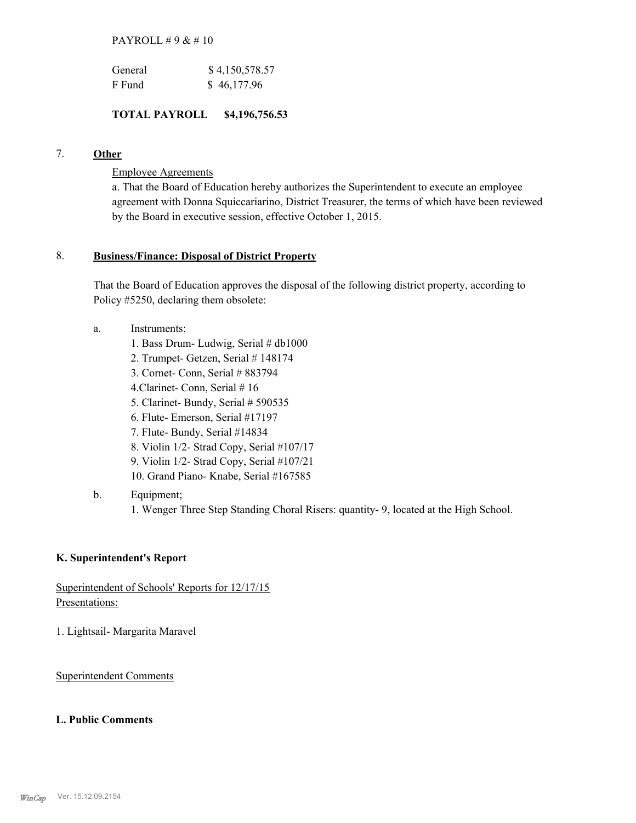PAYROLL # 9 & # 10

| General | \$4,150,578.57 |
|---------|----------------|
| F Fund  | \$46,177.96    |

### **TOTAL PAYROLL \$4,196,756.53**

# 7. **Other**

Employee Agreements

a. That the Board of Education hereby authorizes the Superintendent to execute an employee agreement with Donna Squiccariarino, District Treasurer, the terms of which have been reviewed by the Board in executive session, effective October 1, 2015.

### **Business/Finance: Disposal of District Property** 8.

That the Board of Education approves the disposal of the following district property, according to Policy #5250, declaring them obsolete:

- Instruments: a.
	- 1. Bass Drum- Ludwig, Serial # db1000
	- 2. Trumpet- Getzen, Serial # 148174
	- 3. Cornet- Conn, Serial # 883794
	- 4.Clarinet- Conn, Serial # 16
	- 5. Clarinet- Bundy, Serial # 590535
	- 6. Flute- Emerson, Serial #17197
	- 7. Flute- Bundy, Serial #14834
	- 8. Violin 1/2- Strad Copy, Serial #107/17
	- 9. Violin 1/2- Strad Copy, Serial #107/21
	- 10. Grand Piano- Knabe, Serial #167585
- Equipment; b.

1. Wenger Three Step Standing Choral Risers: quantity- 9, located at the High School.

### **K. Superintendent's Report**

Superintendent of Schools' Reports for 12/17/15 Presentations:

1. Lightsail- Margarita Maravel

Superintendent Comments

### **L. Public Comments**